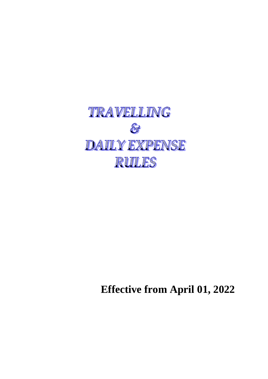

**Effective from April 01, 2022**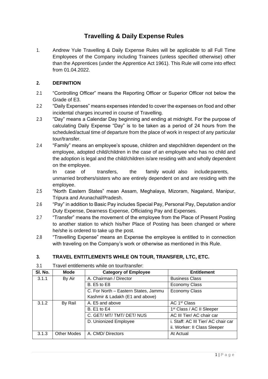# **Travelling & Daily Expense Rules**

1. Andrew Yule Travelling & Daily Expense Rules will be applicable to all Full Time Employees of the Company including Trainees (unless specified otherwise) other than the Apprentices (under the Apprentice Act 1961). This Rule will come into effect from 01.04.2022.

## **2. DEFINITION**

- 2.1 "Controlling Officer" means the Reporting Officer or Superior Officer not below the Grade of E3.
- 2.2 "Daily Expenses" means expenses intended to cover the expenses on food and other incidental charges incurred in course of Travelling.
- 2.3 "Day" means a Calendar Day beginning and ending at midnight. For the purpose of calculating Daily Expense "Day" is to be taken as a period of 24 hours from the scheduled/actual time of departure from the place of work in respect of any particular tour/transfer.
- 2.4 "Family" means an employee's spouse, children and stepchildren dependent on the employee, adopted child/children in the case of an employee who has no child and the adoption is legal and the child/children is/are residing with and wholly dependent on the employee.

In case of transfers, the family would also includeparents, unmarried brothers/sisters who are entirely dependent on and are residing with the employee.

- 2.5 "North Eastern States" mean Assam, Meghalaya, Mizoram, Nagaland, Manipur, Tripura and Arunachal/Pradesh.
- 2.6 "Pay" in addition to Basic Pay includes Special Pay, Personal Pay, Deputation and/or Duty Expense, Dearness Expense, Officiating Pay and Expenses.
- 2.7 "Transfer" means the movement of the employee from the Place of Present Posting to another station to which his/her Place of Posting has been changed or where he/she is ordered to take up the post.
- 2.8 "Travelling Expense" means an Expense the employee is entitled to in connection with traveling on the Company's work or otherwise as mentioned in this Rule.

# **3. TRAVEL ENTITLEMENTS WHILE ON TOUR, TRANSFER, LTC, ETC.**

| SI. No. | <b>Mode</b>        | <b>Category of Employee</b>          | <b>Entitlement</b>                    |
|---------|--------------------|--------------------------------------|---------------------------------------|
| 3.1.1   | By Air             | A. Chairman / Director               | <b>Business Class</b>                 |
|         |                    | <b>B.</b> E5 to E8                   | <b>Economy Class</b>                  |
|         |                    | C. For North - Eastern States, Jammu | <b>Economy Class</b>                  |
|         |                    | Kashmir & Ladakh (E1 and above)      |                                       |
| 3.1.2   | By Rail            | A. E5 and above                      | AC 1 <sup>st</sup> Class              |
|         |                    | <b>B.</b> E1 to E4                   | 1 <sup>st</sup> Class / AC II Sleeper |
|         |                    | C. GET/ MT/ TMT/ DET/ NUS            | AC III Tier/ AC chair car             |
|         |                    | D. Unionized Employee                | i. Staff: AC III Tier/ AC chair car   |
|         |                    |                                      | ii. Worker: II Class Sleeper          |
| 3.1.3   | <b>Other Modes</b> | A. CMD/ Directors                    | At Actual                             |

3.1 Travel entitlements while on tour/transfer: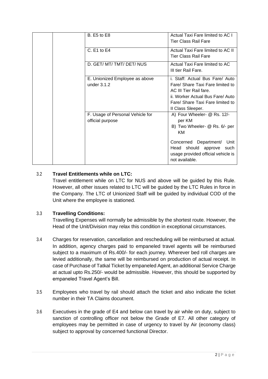| <b>B.</b> E5 to E8                                   | Actual Taxi Fare limited to AC I<br><b>Tier Class Rail Fare</b>                                                                                                                                      |
|------------------------------------------------------|------------------------------------------------------------------------------------------------------------------------------------------------------------------------------------------------------|
| C. E1 to E4                                          | Actual Taxi Fare limited to AC II<br>Tier Class Rail Fare                                                                                                                                            |
| D. GET/ MT/ TMT/ DET/ NUS                            | Actual Taxi Fare limited to AC<br>III tier Rail Fare.                                                                                                                                                |
| E. Unionized Employee as above<br>under 3.1.2        | i. Staff: Actual Bus Fare/ Auto<br>Fare/ Share Taxi Fare limited to<br>AC III Tier Rail fare.<br>ii. Worker Actual Bus Fare/ Auto<br>Fare/ Share Taxi Fare limited to<br>II Class Sleeper.           |
| F. Usage of Personal Vehicle for<br>official purpose | A) Four Wheeler- @ Rs. 12/-<br>per KM<br>B) Two Wheeler- @ Rs. 6/- per<br>KM<br>Concerned Department/<br>Unit<br>Head should approve<br>such<br>usage provided official vehicle is<br>not available. |

# 3.2 **Travel Entitlements while on LTC:**

Travel entitlement while on LTC for NUS and above will be guided by this Rule. However, all other issues related to LTC will be guided by the LTC Rules in force in the Company. The LTC of Unionized Staff will be guided by individual COD of the Unit where the employee is stationed.

# 3.3 **Travelling Conditions:**

Travelling Expenses will normally be admissible by the shortest route. However, the Head of the Unit/Division may relax this condition in exceptional circumstances.

- 3.4 Charges for reservation, cancellation and rescheduling will be reimbursed at actual. In addition, agency charges paid to empaneled travel agents will be reimbursed subject to a maximum of Rs.400/- for each journey. Wherever bed roll charges are levied additionally, the same will be reimbursed on production of actual receipt. In case of Purchase of Tatkal Ticket by empaneled Agent, an additional Service Charge at actual upto Rs.250/- would be admissible. However, this should be supported by empaneled Travel Agent's Bill.
- 3.5 Employees who travel by rail should attach the ticket and also indicate the ticket number in their TA Claims document.
- 3.6 Executives in the grade of E4 and below can travel by air while on duty, subject to sanction of controlling officer not below the Grade of E7. All other category of employees may be permitted in case of urgency to travel by Air (economy class) subject to approval by concerned functional Director.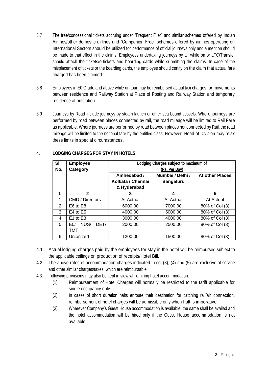- 3.7 The free/concessional tickets accruing under "Frequent Filer" and similar schemes offered by Indian Airlines/other domestic airlines and "Companion Free" schemes offered by airlines operating on International Sectors should be utilized for performance of official journeys only and a mention should be made to that effect in the claims. Employees undertaking journeys by air while on or LTC/Transfer should attach the tickets/e-tickets and boarding cards while submitting the claims. In case of the misplacement of tickets or the boarding cards, the employee should certify on the claim that actual fare charged has been claimed.
- 3.8 Employees in E0 Grade and above while on tour may be reimbursed actual taxi charges for movements between residence and Railway Station at Place of Posting and Railway Station and temporary residence at outstation.
- 3.9 Journeys by Road include journeys by steam launch or other sea bound vessels. Where journeys are performed by road between places connected by rail, the road mileage will be limited to Rail Fare as applicable. Where journeys are performed by road between places not connected by Rail, the road mileage will be limited to the notional fare by the entitled class. However, Head of Division may relax these limits in special circumstances.

| SI. | <b>Employee</b>                | Lodging Charges subject to maximum of |                  |                        |
|-----|--------------------------------|---------------------------------------|------------------|------------------------|
| No. | Category                       | (Rs. Per Day)                         |                  |                        |
|     |                                | Amhedabad /                           | Mumbai / Delhi / | <b>At other Places</b> |
|     |                                | Kolkata / Chennai                     | <b>Bangaluru</b> |                        |
|     |                                | & Hyderabad                           |                  |                        |
| 1   | $\mathbf{2}$                   | 3                                     | 4                | 5                      |
| 1.  | CMD / Directors                | At Actual                             | At Actual        | At Actual              |
| 2.  | E6 to E8                       | 6000.00                               | 7000.00          | 80% of Col (3)         |
| 3.  | $E4$ to $E5$                   | 4000.00                               | 5000.00          | 80% of Col (3)         |
| 4.  | E1 to E3                       | 3000.00                               | 4000.00          | 80% of Col (3)         |
| 5.  | NUS/<br>DET/<br>E <sub>0</sub> | 2000.00                               | 2500.00          | 80% of Col (3)         |
|     | тмт                            |                                       |                  |                        |
| 6.  | Unionized                      | 1200.00                               | 1500.00          | 80% of Col (3)         |

# **4. LODGING CHARGES FOR STAY IN HOTELS:**

- 4.1. Actual lodging charges paid by the employees for stay in the hotel will be reimbursed subject to the applicable ceilings on production of receipts/Hotel Bill.
- 4.2. The above rates of accommodation charges indicated in col (3), (4) and (5) are exclusive of service and other similar charges/taxes, which are reimbursable.
- 4.3. Following provisions may also be kept in view while hiring hotel accommodation:
	- (1) Reimbursement of Hotel Charges will normally be restricted to the tariff applicable for single occupancy only.
	- (2) In cases of short duration halts enroute their destination for catching rail/air connection, reimbursement of hotel charges will be admissible only when halt is imperative.
	- (3) Wherever Company's Guest House accommodation is available, the same shall be availed and the hotel accommodation will be hired only if the Guest House accommodation is not available.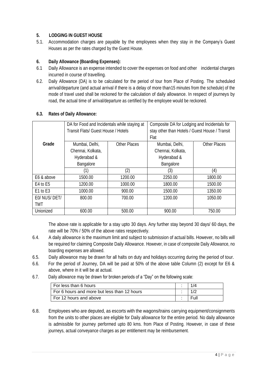## **5. LODGING IN GUEST HOUSE**

5.1. Accommodation charges are payable by the employees when they stay in the Company's Guest Houses as per the rates charged by the Guest House.

## **6. Daily Allowance (Boarding Expenses):**

- 6.1 Daily Allowance is an expense intended to cover the expenses on food and other incidental charges incurred in course of travelling.
- 6.2. Daily Allowance (DA) is to be calculated for the period of tour from Place of Posting. The scheduled arrival/departure (and actual arrival if there is a delay of more than15 minutes from the schedule) of the mode of travel used shall be reckoned for the calculation of daily allowance. In respect of journeys by road, the actual time of arrival/departure as certified by the employee would be reckoned.

|                                  | DA for Food and Incidentals while staying at<br>Transit Flats/ Guest House / Hotels |                     | Composite DA for Lodging and Incidentals for   |                     |
|----------------------------------|-------------------------------------------------------------------------------------|---------------------|------------------------------------------------|---------------------|
|                                  |                                                                                     |                     | stay other than Hotels / Guest House / Transit |                     |
|                                  |                                                                                     |                     | Flat                                           |                     |
| Grade                            | Mumbai, Delhi,                                                                      | <b>Other Places</b> | Mumbai, Delhi,                                 | <b>Other Places</b> |
|                                  | Chennai, Kolkata,                                                                   |                     | Chennai, Kolkata,                              |                     |
|                                  | Hyderabad &                                                                         |                     | Hyderabad &                                    |                     |
|                                  | Bangalore                                                                           |                     | Bangalore                                      |                     |
|                                  | (1)                                                                                 | (2)                 | (3)                                            | (4)                 |
| E6 & above                       | 1500.00                                                                             | 1200.00             | 2250.00                                        | 1800.00             |
| E4 to E5                         | 1200.00                                                                             | 1000.00             | 1800.00                                        | 1500.00             |
| E <sub>1</sub> to E <sub>3</sub> | 1000.00                                                                             | 900.00              | 1500.00                                        | 1350.00             |
| E0/ NUS/ DET/                    | 800.00                                                                              | 700.00              | 1200.00                                        | 1050.00             |
| TMT                              |                                                                                     |                     |                                                |                     |
| Unionized                        | 600.00                                                                              | 500.00              | 900.00                                         | 750.00              |

### **6.3. Rates of Daily Allowance:**

The above rate is applicable for a stay upto 30 days. Any further stay beyond 30 days/ 60 days, the rate will be 70% / 50% of the above rates respectively.

- 6.4. A daily allowance is the maximum limit and subject to submission of actual bills. However, no bills will be required for claiming Composite Daily Allowance. However, in case of composite Daily Allowance, no boarding expenses are allowed.
- 6.5. Daily allowance may be drawn for all halts on duty and holidays occurring during the period of tour.
- 6.6. For the period of Journey, DA will be paid at 50% of the above table Column (2) except for E6 & above, where in it will be at actual.
- 6.7. Daily allowance may be drawn for broken periods of a "Day" on the following scale:

| l For less than 6 hours                     |  |
|---------------------------------------------|--|
| For 6 hours and more but less than 12 hours |  |
| For 12 hours and above                      |  |

6.8. Employees who are deputed, as escorts with the wagons/trains carrying equipment/consignments from the units to other places are eligible for Daily allowance for the entire period. No daily allowance is admissible for journey performed upto 80 kms. from Place of Posting. However, in case of these journeys, actual conveyance charges as per entitlement may be reimbursement.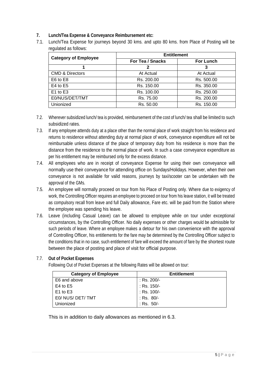### **7. Lunch/Tea Expense & Conveyance Reimbursement etc:**

7.1. Lunch/Tea Expense for journeys beyond 30 kms. and upto 80 kms. from Place of Posting will be regulated as follows:

| <b>Category of Employee</b> | <b>Entitlement</b> |                  |  |
|-----------------------------|--------------------|------------------|--|
|                             | For Tea / Snacks   | <b>For Lunch</b> |  |
|                             |                    | 3                |  |
| <b>CMD &amp; Directors</b>  | At Actual          | At Actual        |  |
| E6 to E8                    | Rs. 200.00         | Rs. 500.00       |  |
| $E4$ to $E5$                | Rs. 150.00         | Rs. 350.00       |  |
| E1 to E3                    | Rs. 100.00         | Rs. 250.00       |  |
| E0/NUS/DET/TMT              | Rs. 75.00          | Rs. 200.00       |  |
| Unionized                   | Rs. 50.00          | Rs. 150.00       |  |

- 7.2. Wherever subsidized lunch/ tea is provided, reimbursement of the cost of lunch/ tea shall be limited to such subsidized rates.
- 7.3. If any employee attends duty at a place other than the normal place of work straight from his residence and returns to residence without attending duty at normal place of work, conveyance expenditure will not be reimbursable unless distance of the place of temporary duty from his residence is more than the distance from the residence to the normal place of work. In such a case conveyance expenditure as per his entitlement may be reimbursed only for the excess distance.
- 7.4. All employees who are in receipt of conveyance Expense for using their own conveyance will normally use their conveyance for attending office on Sundays/Holidays. However, when their own conveyance is not available for valid reasons, journeys by taxi/scooter can be undertaken with the approval of the GMs.
- 7.5. An employee will normally proceed on tour from his Place of Posting only. Where due to exigency of work, the Controlling Officer requires an employee to proceed on tour from his leave station, it will be treated as compulsory recall from leave and full Daily allowance, Fare etc. will be paid from the Station where the employee was spending his leave.
- 7.6. Leave (including Casual Leave) can be allowed to employee while on tour under exceptional circumstances, by the Controlling Officer. No daily expenses or other charges would be admissible for such periods of leave. Where an employee makes a detour for his own convenience with the approval of Controlling Officer, his entitlements for the fare may be determined by the Controlling Officer subject to the conditions that in no case, such entitlement of fare will exceed the amount of fare by the shortest route between the place of posting and place of visit for official purpose.

# 7.7. **Out of Pocket Expenses**

Following Out of Pocket Expenses at the following Rates will be allowed on tour:

| <b>Category of Employee</b> | <b>Entitlement</b> |
|-----------------------------|--------------------|
| E6 and above                | : Rs. 200/-        |
| E4 to $E5$                  | : Rs. 150/-        |
| $E1$ to $E3$                | : Rs. 100/-        |
| E0/ NUS/ DET/ TMT           | : Rs. 80/-         |
| Unionized                   | : Rs. $50/-$       |

This is in addition to daily allowances as mentioned in 6.3.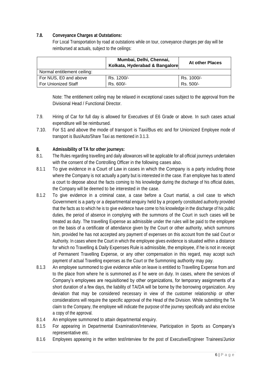### **7.8. Conveyance Charges at Outstations:**

For Local Transportation by road at outstations while on tour, conveyance charges per day will be reimbursed at actuals, subject to the ceilings:

|                             | Mumbai, Delhi, Chennai,<br>Kolkata, Hyderabad & Bangalore | <b>At other Places</b> |  |  |
|-----------------------------|-----------------------------------------------------------|------------------------|--|--|
| Normal entitlement ceiling: |                                                           |                        |  |  |
| For NUS, E0 and above       | Rs. 1200/-                                                | Rs. 1000/-             |  |  |
| <b>For Unionized Staff</b>  | Rs. 600/-                                                 | Rs. 500/-              |  |  |

Note: The entitlement ceiling may be relaxed in exceptional cases subject to the approval from the Divisional Head / Functional Director.

- 7.9. Hiring of Car for full day is allowed for Executives of E6 Grade or above. In such cases actual expenditure will be reimbursed.
- 7.10. For S1 and above the mode of transport is Taxi/Bus etc and for Unionized Employee mode of transport is Bus/Auto/Share Taxi as mentioned in 3.1.3.

### **8. Admissibility of TA for other journeys:**

- 8.1. The Rules regarding travelling and daily allowances will be applicable for all official journeys undertaken with the consent of the Controlling Officer in the following cases also.
- 8.1.1 To give evidence in a Court of Law in cases in which the Company is a party including those where the Company is not actually a party but is interested in the case. If an employee has to attend a court to depose about the facts coming to his knowledge during the discharge of his official duties, the Company will be deemed to be interested in the case.
- 8.1.2 To give evidence in a criminal case, a case before a Court martial, a civil case to which Government is a party or a departmental enquiry held by a properly constituted authority provided that the facts as to which he is to give evidence have come to his knowledge in the discharge of his public duties, the period of absence in complying with the summons of the Court in such cases will be treated as duty. The travelling Expense as admissible under the rules will be paid to the employee on the basis of a certificate of attendance given by the Court or other authority, which summons him, provided he has not accepted any payment of expenses on this account from the said Court or Authority. In cases where the Court in which the employee gives evidence is situated within a distance for which no Travelling & Daily Expenses Rule is admissible, the employee, if he is not in receipt of Permanent Travelling Expense, or any other compensation in this regard, may accept such payment of actual Travelling expenses as the Court or the Summoning authority may pay.
- 8.1.3 An employee summoned to give evidence while on leave is entitled to Travelling Expense from and to the place from where he is summoned as if he were on duty. In cases, where the services of Company's employees are requisitioned by other organizations, for temporary assignments of a short duration of a few days, the liability of TA/DA will be borne by the borrowing organization. Any deviation that may be considered necessary in view of the customer relationship or other considerations will require the specific approval of the Head of the Division. While submitting the TA claim to the Company, the employee will indicate the purpose of the journey specifically and also enclose a copy of the approval.
- 8.1.4 An employee summoned to attain departmental enquiry.
- 8.1.5 For appearing in Departmental Examination/Interview, Participation in Sports as Company's representative etc.
- 8.1.6 Employees appearing in the written test/interview for the post of Executive/Engineer Trainees/Junior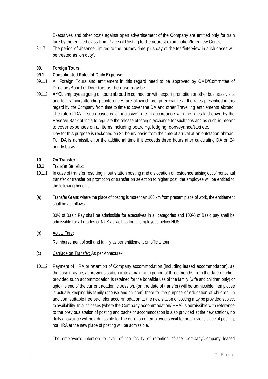Executives and other posts against open advertisement of the Company are entitled only for train fare by the entitled class from Place of Posting to the nearest examination/Interview Centre.

8.1.7 The period of absence, limited to the journey time plus day of the test/interview in such cases will be treated as 'on duty'.

### **09. Foreign Tours**

### **09.1 Consolidated Rates of Daily Expense:**

- 09.1.1 All Foreign Tours and entitlement in this regard need to be approved by CMD/Committee of Directors/Board of Directors as the case may be.
- 09.1.2 AYCL employees going on tours abroad in connection with export promotion or other business visits and for training/attending conferences are allowed foreign exchange at the rates prescribed in this regard by the Company from time to time to cover the DA and other Travelling entitlements abroad. The rate of DA in such cases is 'all inclusive' rate in accordance with the rules laid down by the Reserve Bank of India to regulate the release of foreign exchange for such trips and as such is meant to cover expenses on all items including boarding, lodging, conveyance/taxi etc.

Day for this purpose is reckoned on 24 hourly basis from the time of arrival at an outstation abroad. Full DA is admissible for the additional time if it exceeds three hours after calculating DA on 24 hourly basis.

### **10. On Transfer**

- **10.1** Transfer Benefits:
- 10.1.1 In case of transfer resulting in out station posting and dislocation of residence arising out of horizontal transfer or transfer on promotion or transfer on selection to higher post, the employee will be entitled to the following benefits:
- (a) Transfer Grant: where the place of posting is more than 100 km from present place of work, the entitlement shall be as follows:

80% of Basic Pay shall be admissible for executives in all categories and 100% of Basic pay shall be admissible for all grades of NUS as well as for all employees below NUS.

(b) Actual Fare:

Reimbursement of self and family as per entitlement on official tour.

- (c) Carriage on Transfer: As per Annexure-I.
- 10.1.2 Payment of HRA or retention of Company accommodation (including leased accommodation), as the case may be, at previous station upto a maximum period of three months from the date of relief, provided such accommodation is retained for the bonafide use of the family (wife and children only) or upto the end of the current academic session, (on the date of transfer) will be admissible if employee is actually keeping his family (spouse and children) there for the purpose of education of children. In addition, suitable free bachelor accommodation at the new station of posting may be provided subject to availability. In such cases (where the Company accommodation/ HRA) is admissible with reference to the previous station of posting and bachelor accommodation is also provided at the new station), no daily allowance will be admissible for the duration of employee's visit to the previous place of posting, nor HRA at the new place of posting will be admissible.

The employee's intention to avail of the facility of retention of the Company/Company leased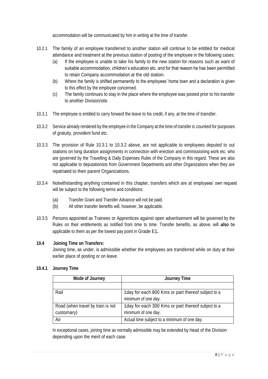accommodation will be communicated by him in writing at the time of transfer.

- 10.2.1 The family of an employee transferred to another station will continue to be entitled for medical attendance and treatment at the previous station of posting of the employee in the following cases:
	- (a) If the employee is unable to take his family to the new station for reasons such as want of suitable accommodation, children's education etc. and for that reason he has been permitted to retain Company accommodation at the old station.
	- (b) Where the family is shifted permanently to the employees' home town and a declaration is given to this effect by the employee concerned.
	- (c) The family continues to stay in the place where the employee was posted prior to his transfer to another Division/site.
- 10.3.1 The employee is entitled to carry forward the leave to his credit, if any, at the time of transfer.
- 10.3.2 Service already rendered by the employee in the Company at the time of transfer is counted for purposes of gratuity, provident fund etc.
- 10.3.3 The provision of Rule 10.3.1 to 10.3.2 above, are not applicable to employees deputed to out stations on long duration assignments in connection with erection and commissioning work etc. who are governed by the Travelling & Daily Expenses Rules of the Company in this regard. These are also not applicable to deputationists from Government Departments and other Organizations when they are repatriated to their parent Organizations.
- 10.3.4 Notwithstanding anything contained in this chapter, transfers which are at employees' own request will be subject to the following terms and conditions:
	- (a) Transfer Grant and Transfer Advance will not be paid.
	- (b) All other transfer benefits will, however, be applicable.
- 10.3.5 Persons appointed as Trainees or Apprentices against open advertisement will be governed by the Rules on their entitlements as notified from time to time. Transfer benefits, as above, will *also* be applicable to them as per the lowest pay point in Grade E1*.*

### **10.4 Joining Time on Transfers:**

Joining time, as under, is admissible whether the employees are transferred while on duty at their earlier place of posting or on leave.

### **10.4.1 Journey Time**

| <b>Mode of Journey</b>                          | <b>Journey Time</b>                                                        |  |
|-------------------------------------------------|----------------------------------------------------------------------------|--|
|                                                 |                                                                            |  |
| Rail                                            | 1 day for each 800 Kms or part thereof subject to a<br>minimum of one day. |  |
| Road (when travel by train is not<br>customary) | 1 day for each 300 Kms or part thereof subject to a<br>minimum of one day. |  |
| Air                                             | Actual time subject to a minimum of one day.                               |  |

In exceptional cases, joining time as normally admissible may be extended by Head of the Division depending upon the merit of each case.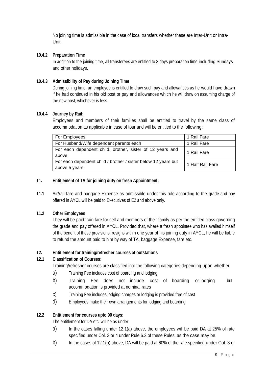No joining time is admissible in the case of local transfers whether these are Inter-Unit or Intra-Unit.

### **10.4.2 Preparation Time**

In addition to the joining time, all transferees are entitled to 3 days preparation time including Sundays and other holidays.

#### **10.4.3 Admissibility of Pay during Joining Time**

During joining time, an employee is entitled to draw such pay and allowances as he would have drawn if he had continued in his old post or pay and allowances which he will draw on assuming charge of the new post, whichever is less.

#### **10.4.4 Journey by Rail:**

Employees and members of their families shall be entitled to travel by the same class of accommodation as applicable in case of tour and will be entitled to the following:

| For Employees                                                                   | 1 Rail Fare      |
|---------------------------------------------------------------------------------|------------------|
| For Husband/Wife dependent parents each                                         | 1 Rail Fare      |
| For each dependent child, brother, sister of 12 years and<br>above              | 1 Rail Fare      |
| For each dependent child / brother / sister below 12 years but<br>above 5 years | 1 Half Rail Fare |

#### **11. Entitlement of TA for joining duty on fresh Appointment:**

**11.1** Air/rail fare and baggage Expense as admissible under this rule according to the grade and pay offered in AYCL will be paid to Executives of E2 and above only.

### **11.2 Other Employees**

They will be paid train fare for self and members of their family as per the entitled class governing the grade and pay offered in AYCL. Provided that, where a fresh appointee who has availed himself of the benefit of these provisions, resigns within one year of his joining duty in AYCL, he will be liable to refund the amount paid to him by way of TA, baggage Expense, fare etc.

#### **12. Entitlement for training/refresher courses at outstations**

#### **12.1 Classification of Courses:**

Training/refresher courses are classified into the following categories depending upon whether:

- a) Training Fee includes cost of boarding and lodging
- b) Training Fee does not include cost of boarding or lodging but accommodation is provided at nominal rates
- c) Training Fee includes lodging charges or lodging is provided free of cost
- d) Employees make their own arrangements for lodging and boarding

#### **12.2 Entitlement for courses upto 90 days:**

The entitlement for DA etc. will be as under:

- a) In the cases falling under 12.1(a) above, the employees will be paid DA at 25% of rate specified under Col. 3 or 4 under Rule 6.3 of these Rules, as the case may be.
- b) In the cases of 12.1(b) above, DA will be paid at 60% of the rate specified under Col. 3 or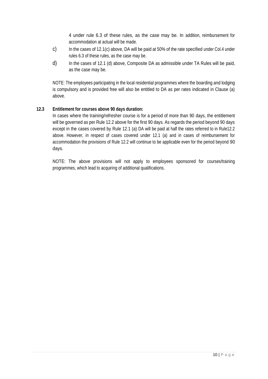4 under rule 6.3 of these rules, as the case may be. In addition, reimbursement for accommodation at actual will be made.

- c) In the cases of 12.1(c) above, DA will be paid at 50% of the rate specified under Col.4 under rules 6.3 of these rules, as the case may be.
- d) In the cases of 12.1 (d) above, Composite DA as admissible under TA Rules will be paid, as the case may be.

NOTE: The employees participating in the local residential programmes where the boarding and lodging is compulsory and is provided free will also be entitled to DA as per rates indicated in Clause (a) above.

#### **12.3 Entitlement for courses above 90 days duration:**

In cases where the training/refresher course is for a period of more than 90 days, the entitlement will be governed as per Rule 12.2 above for the first 90 days. As regards the period beyond 90 days except in the cases covered by Rule 12.1 (a) DA will be paid at half the rates referred to in Rule12.2 above. However, in respect of cases covered under 12.1 (a) and in cases of reimbursement for accommodation the provisions of Rule 12.2 will continue to be applicable even for the period beyond 90 days.

NOTE: The above provisions will not apply to employees sponsored for courses/training programmes, which lead to acquiring of additional qualifications.